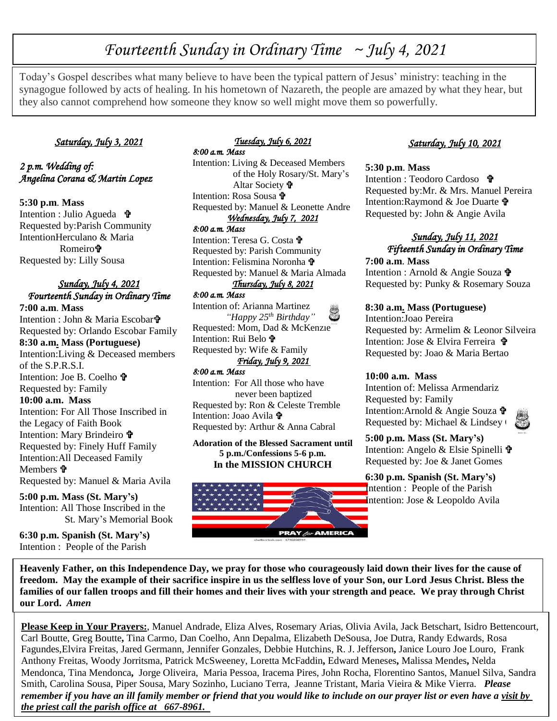# *Fourteenth Sunday in Ordinary Time ~ July 4, 2021*

Today's Gospel describes what many believe to have been the typical pattern of Jesus' ministry: teaching in the synagogue followed by acts of healing. In his hometown of Nazareth, the people are amazed by what they hear, but they also cannot comprehend how someone they know so well might move them so powerfully.

#### *Saturday, July 3, 2021*

### *2 p.m. Wedding of: Angelina Corana & Martin Lopez*

**5:30 p.m**. **Mass** Intention : Julio Agueda  $\mathbf{\hat{\mathbf{\Psi}}}$ Requested by:Parish Community IntentionHerculano & Maria Romeiro<sup>t</sup> Requested by: Lilly Sousa

#### *Sunday, July 4, 2021 Fourteenth Sunday in Ordinary Time*

**7:00 a.m**. **Mass** Intention : John & Maria Escobar Requested by: Orlando Escobar Family **8:30 a.m. Mass (Portuguese)** Intention:Living & Deceased members of the S.P.R.S.I. Intention: Joe B. Coelho Requested by: Family **10:00 a.m. Mass** Intention: For All Those Inscribed in the Legacy of Faith Book Intention: Mary Brindeiro Requested by: Finely Huff Family Intention:All Deceased Family Members  $\mathbf{\hat{P}}$ Requested by: Manuel & Maria Avila

**5:00 p.m. Mass (St. Mary's)** Intention: All Those Inscribed in the St. Mary's Memorial Book

**6:30 p.m. Spanish (St. Mary's)** Intention : People of the Parish

#### *Tuesday, July 6, 2021 8:00 a.m. Mass*

Intention: Living & Deceased Members of the Holy Rosary/St. Mary's Altar Society Intention: Rosa Sousa Requested by: Manuel & Leonette Andre *Wednesday, July 7, 2021* 

#### *8:00 a.m. Mass*

Intention: Teresa G. Costa Requested by: Parish Community Intention: Felismina Noronha Requested by: Manuel & Maria Almada

## *Thursday, July 8, 2021*

*8:00 a.m. Mass*  Intention of: Arianna Martinez  *"Happy 25th Birthday"* Requested: Mom, Dad & McKenzie Intention: Rui Belo Requested by: Wife & Family *Friday, July 9, 2021* 

#### *8:00 a.m. Mass*

Intention: For All those who have never been baptized Requested by: Ron & Celeste Tremble Intention: Joao Avila  $\mathbf{\hat{v}}$ Requested by: Arthur & Anna Cabral

**Adoration of the Blessed Sacrament until 5 p.m./Confessions 5-6 p.m. In the MISSION CHURCH**



## *Saturday, July 10, 2021*

#### **5:30 p.m**. **Mass**

Intention : Teodoro Cardoso Requested by:Mr. & Mrs. Manuel Pereira Intention: Raymond & Joe Duarte  $\mathbf{\hat{\Psi}}$ Requested by: John & Angie Avila

### *Sunday, July 11, 2021 Fifteenth Sunday in Ordinary Time*

**7:00 a.m**. **Mass** Intention : Arnold & Angie Souza Requested by: Punky & Rosemary Souza

#### **8:30 a.m. Mass (Portuguese)**

Intention:Joao Pereira Requested by: Armelim & Leonor Silveira Intention: Jose & Elvira Ferreira Requested by: Joao & Maria Bertao

#### **10:00 a.m. Mass**

Intention of: Melissa Armendariz Requested by: Family Intention:Arnold & Angie Souza Requested by: Michael & Lindsey  $\theta$ 



**5:00 p.m. Mass (St. Mary's)** Intention: Angelo & Elsie Spinelli Requested by: Joe & Janet Gomes

## **6:30 p.m. Spanish (St. Mary's)** Intention : People of the Parish Intention: Jose & Leopoldo Avila

 **freedom. May the example of their sacrifice inspire in us the selfless love of your Son, our Lord Jesus Christ. Bless the Heavenly Father, on this Independence Day, we pray for those who courageously laid down their lives for the cause of families of our fallen troops and fill their homes and their lives with your strength and peace. We pray through Christ our Lord.** *Amen*

**Please Keep in Your Prayers:**, Manuel Andrade, Eliza Alves, Rosemary Arias, Olivia Avila, Jack Betschart, Isidro Bettencourt, Carl Boutte, Greg Boutte**,** Tina Carmo, Dan Coelho, Ann Depalma, Elizabeth DeSousa, Joe Dutra, Randy Edwards, Rosa Fagundes,Elvira Freitas, Jared Germann, Jennifer Gonzales, Debbie Hutchins, R. J. Jefferson**,** Janice Louro Joe Louro, Frank Anthony Freitas, Woody Jorritsma, Patrick McSweeney, Loretta McFaddin**,** Edward Meneses**,** Malissa Mendes**,** Nelda Mendonca, Tina Mendonca**,** Jorge Oliveira, Maria Pessoa, Iracema Pires, John Rocha, Florentino Santos, Manuel Silva, Sandra Smith, Carolina Sousa, Piper Sousa, Mary Sozinho, Luciano Terra, Jeanne Tristant, Maria Vieira & Mike Vierra. *Please remember if you have an ill family member or friend that you would like to include on our prayer list or even have a visit by the priest call the parish office at 667-8961.*